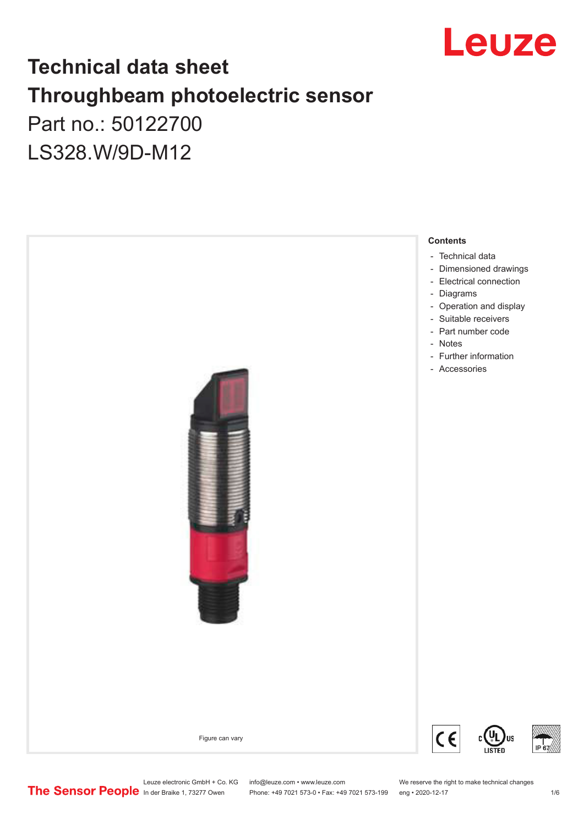

# **Technical data sheet Throughbeam photoelectric sensor**  Part no.: 50122700 LS328.W/9D-M12

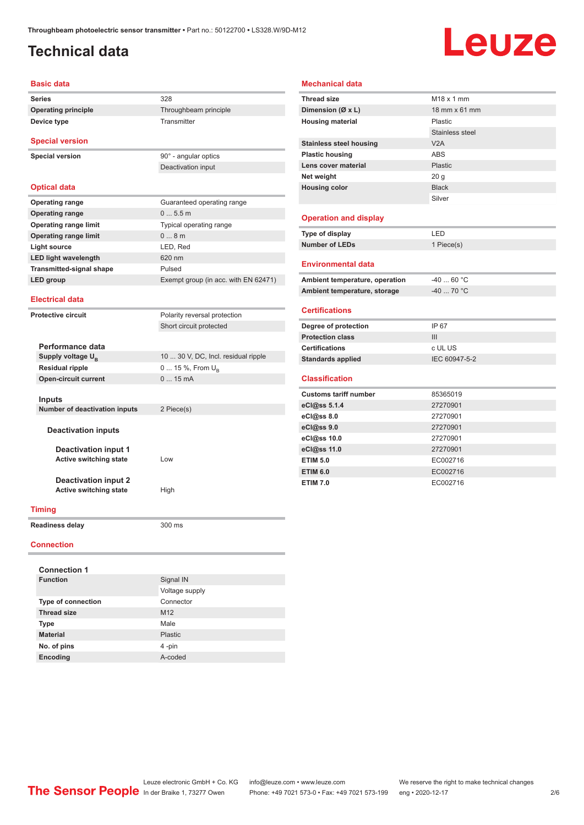## <span id="page-1-0"></span>**Technical data**

**Device type** Transmitter

# Leuze

#### **Basic data**

**Series** 328 **Operating principle** Throughbeam principle

## **Special version**

**Special version** 90° - angular optics

### **Optical data**

| <b>Operating range</b>          | Guaranteed operating range           |
|---------------------------------|--------------------------------------|
| <b>Operating range</b>          | 05.5m                                |
| <b>Operating range limit</b>    | Typical operating range              |
| <b>Operating range limit</b>    | $0 \dots 8$ m                        |
| Light source                    | LED, Red                             |
| <b>LED light wavelength</b>     | 620 nm                               |
| <b>Transmitted-signal shape</b> | Pulsed                               |
| LED group                       | Exempt group (in acc. with EN 62471) |
|                                 |                                      |

Deactivation input

Short circuit protected

#### **Electrical data**

**Protective circuit** Polarity reversal protection

| Performance data              |                                     |
|-------------------------------|-------------------------------------|
| Supply voltage U <sub>p</sub> | 10  30 V, DC, Incl. residual ripple |
| <b>Residual ripple</b>        | 0  15 %, From $U_{\rm B}$           |
| <b>Open-circuit current</b>   | 015mA                               |
|                               |                                     |
| <b>Inputs</b>                 |                                     |
| Number of deactivation inputs | 2 Piece(s)                          |
|                               |                                     |
| <b>Deactivation inputs</b>    |                                     |
|                               |                                     |
| Deactivation input 1          |                                     |
| <b>Active switching state</b> | Low                                 |
|                               |                                     |
| <b>Deactivation input 2</b>   |                                     |
| <b>Active switching state</b> | High                                |
|                               |                                     |

| Ambient temperature, operation | $-4060 °C$ |
|--------------------------------|------------|
| Ambient temperature, storage   | -40  70 °C |

Stainless steel

Silver

#### **Certifications**

**Operation and display**

**Environmental data**

**Mechanical data**

**Thread size** M18 x 1 mm **Dimension (Ø x L)** 18 mm x 61 mm **Housing material** Plastic

**Stainless steel housing V2A Plastic housing** ABS **Lens cover material** Plastic **Net weight** 20 g **Housing color** Black

**Type of display** LED **Number of LEDs** 1 Piece(s)

| Degree of protection     | IP 67         |
|--------------------------|---------------|
| <b>Protection class</b>  | Ш             |
| <b>Certifications</b>    | c UL US       |
| <b>Standards applied</b> | IEC 60947-5-2 |

### **Classification**

| <b>Customs tariff number</b> | 85365019 |
|------------------------------|----------|
| eCl@ss 5.1.4                 | 27270901 |
| eCl@ss 8.0                   | 27270901 |
| eCl@ss 9.0                   | 27270901 |
| eCl@ss 10.0                  | 27270901 |
| eCl@ss 11.0                  | 27270901 |
| <b>ETIM 5.0</b>              | EC002716 |
| <b>ETIM 6.0</b>              | EC002716 |
| <b>ETIM 7.0</b>              | EC002716 |

### **Timing**

**Readiness delay** 300 ms

### **Connection**

| <b>Connection 1</b>       |                 |
|---------------------------|-----------------|
| <b>Function</b>           | Signal IN       |
|                           | Voltage supply  |
| <b>Type of connection</b> | Connector       |
| <b>Thread size</b>        | M <sub>12</sub> |
| <b>Type</b>               | Male            |
| <b>Material</b>           | Plastic         |
| No. of pins               | 4-pin           |
| Encoding                  | A-coded         |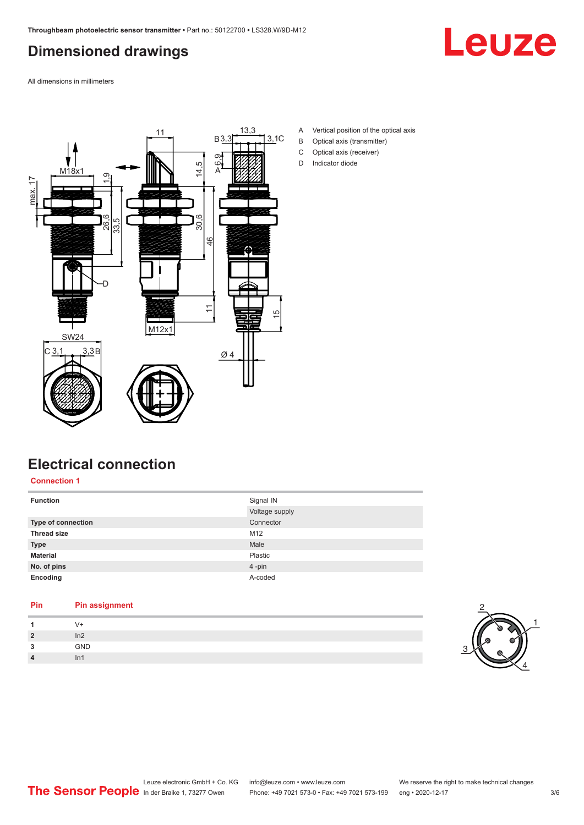# <span id="page-2-0"></span>**Dimensioned drawings**

Leuze

All dimensions in millimeters



- A Vertical position of the optical axis
- B Optical axis (transmitter)
- C Optical axis (receiver)
- D Indicator diode

# **Electrical connection**

**Connection 1**

| <b>Function</b>    | Signal IN<br>Voltage supply |
|--------------------|-----------------------------|
|                    |                             |
| Type of connection | Connector                   |
| <b>Thread size</b> | M12                         |
| <b>Type</b>        | Male                        |
| <b>Material</b>    | Plastic                     |
| No. of pins        | 4-pin                       |
| Encoding           | A-coded                     |

## **Pin Pin assignment 1** V+

| $\overline{\mathbf{2}}$ | In2 |  |
|-------------------------|-----|--|
| ໍາ<br>$\blacksquare$    | GND |  |
| Δ                       | In1 |  |

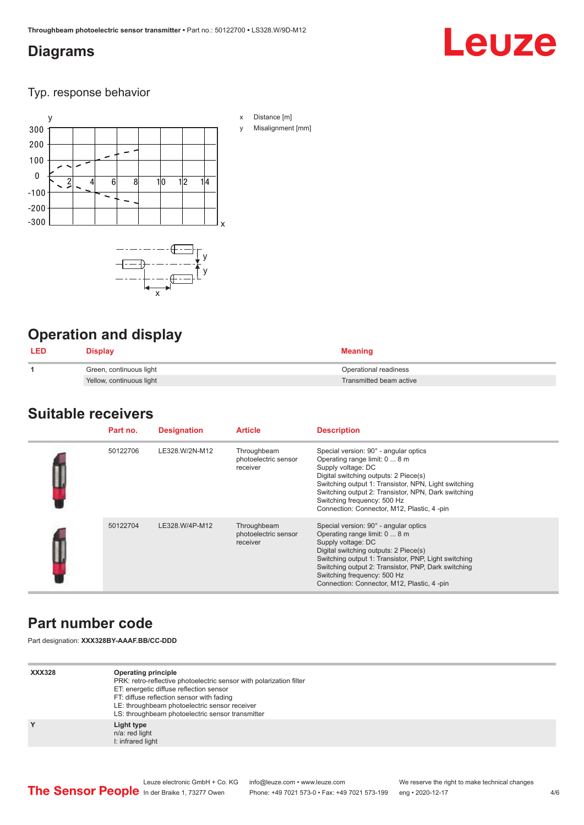## <span id="page-3-0"></span>**Diagrams**

# Leuze

## Typ. response behavior



# **Operation and display**

| <b>LED</b> | Display                  | Meaning                 |
|------------|--------------------------|-------------------------|
|            | Green, continuous light  | Operational readiness   |
|            | Yellow, continuous light | Transmitted beam active |

## **Suitable receivers**

| Part no. | <b>Designation</b> | <b>Article</b>                                  | <b>Description</b>                                                                                                                                                                                                                                                                                                                |
|----------|--------------------|-------------------------------------------------|-----------------------------------------------------------------------------------------------------------------------------------------------------------------------------------------------------------------------------------------------------------------------------------------------------------------------------------|
| 50122706 | LE328.W/2N-M12     | Throughbeam<br>photoelectric sensor<br>receiver | Special version: 90° - angular optics<br>Operating range limit: 0  8 m<br>Supply voltage: DC<br>Digital switching outputs: 2 Piece(s)<br>Switching output 1: Transistor, NPN, Light switching<br>Switching output 2: Transistor, NPN, Dark switching<br>Switching frequency: 500 Hz<br>Connection: Connector, M12, Plastic, 4-pin |
| 50122704 | LE328.W/4P-M12     | Throughbeam<br>photoelectric sensor<br>receiver | Special version: 90° - angular optics<br>Operating range limit: 0  8 m<br>Supply voltage: DC<br>Digital switching outputs: 2 Piece(s)<br>Switching output 1: Transistor, PNP, Light switching<br>Switching output 2: Transistor, PNP, Dark switching<br>Switching frequency: 500 Hz<br>Connection: Connector, M12, Plastic, 4-pin |

# **Part number code**

Part designation: **XXX328BY-AAAF.BB/CC-DDD**

| <b>XXX328</b> | Operating principle<br>PRK: retro-reflective photoelectric sensor with polarization filter<br>ET: energetic diffuse reflection sensor<br>FT: diffuse reflection sensor with fading<br>LE: throughbeam photoelectric sensor receiver<br>LS: throughbeam photoelectric sensor transmitter |
|---------------|-----------------------------------------------------------------------------------------------------------------------------------------------------------------------------------------------------------------------------------------------------------------------------------------|
| Y             | Light type<br>n/a: red light<br>I: infrared light                                                                                                                                                                                                                                       |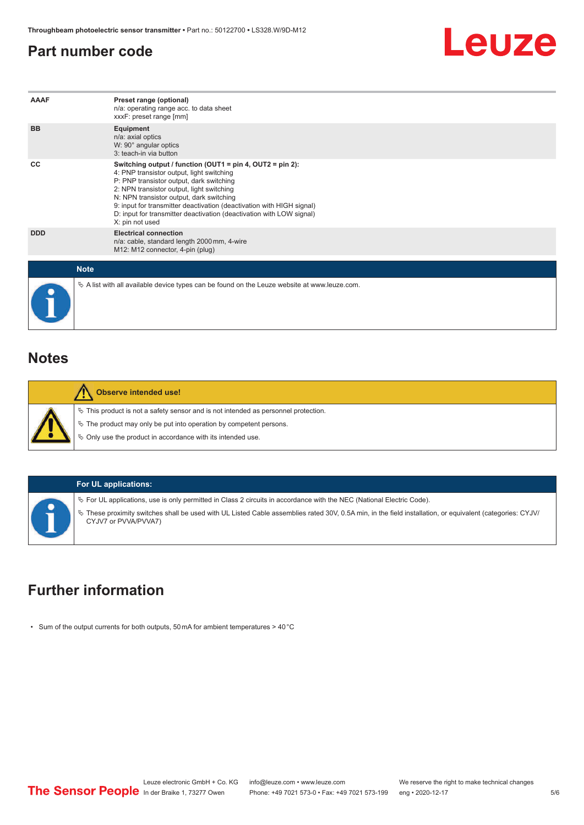## <span id="page-4-0"></span>**Part number code**



| AAAF        | Preset range (optional)<br>n/a: operating range acc. to data sheet<br>xxxF: preset range [mm]                                                                                                                                                                                                                                                                                                                         |
|-------------|-----------------------------------------------------------------------------------------------------------------------------------------------------------------------------------------------------------------------------------------------------------------------------------------------------------------------------------------------------------------------------------------------------------------------|
| <b>BB</b>   | Equipment<br>n/a: axial optics<br>W: 90° angular optics<br>3: teach-in via button                                                                                                                                                                                                                                                                                                                                     |
| CC          | Switching output / function (OUT1 = $pin 4$ , OUT2 = $pin 2$ ):<br>4: PNP transistor output, light switching<br>P: PNP transistor output, dark switching<br>2: NPN transistor output, light switching<br>N: NPN transistor output, dark switching<br>9: input for transmitter deactivation (deactivation with HIGH signal)<br>D: input for transmitter deactivation (deactivation with LOW signal)<br>X: pin not used |
| <b>DDD</b>  | <b>Electrical connection</b><br>n/a: cable, standard length 2000 mm, 4-wire<br>M12: M12 connector, 4-pin (plug)                                                                                                                                                                                                                                                                                                       |
| <b>Note</b> |                                                                                                                                                                                                                                                                                                                                                                                                                       |
|             | $\&$ A list with all available device types can be found on the Leuze website at www.leuze.com.                                                                                                                                                                                                                                                                                                                       |

## **Notes**

|  | <b>Observe intended use!</b>                                                                                                                                   |
|--|----------------------------------------------------------------------------------------------------------------------------------------------------------------|
|  | $\%$ This product is not a safety sensor and is not intended as personnel protection.<br>$\&$ The product may only be put into operation by competent persons. |
|  | ♦ Only use the product in accordance with its intended use.                                                                                                    |

## **For UL applications:**

ª For UL applications, use is only permitted in Class 2 circuits in accordance with the NEC (National Electric Code).

ª These proximity switches shall be used with UL Listed Cable assemblies rated 30V, 0.5A min, in the field installation, or equivalent (categories: CYJV/ CYJV7 or PVVA/PVVA7)

# **Further information**

• Sum of the output currents for both outputs, 50 mA for ambient temperatures > 40 °C